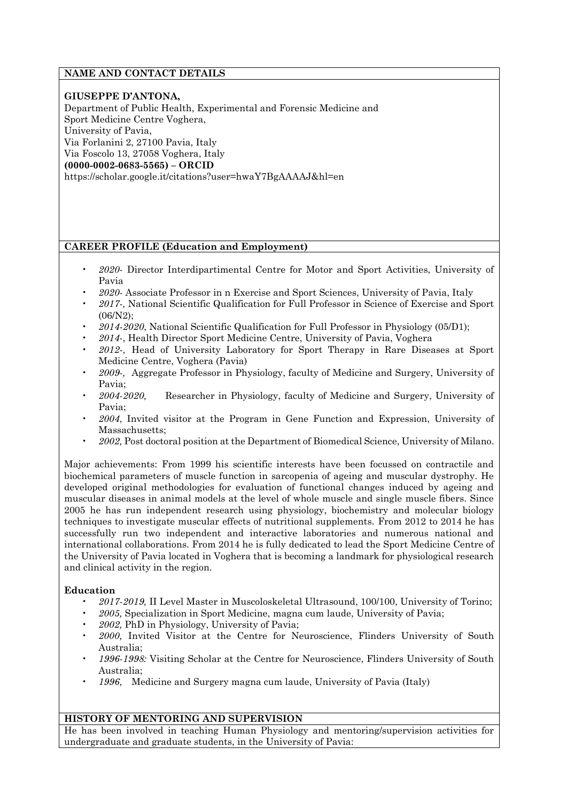# **NAME AND CONTACT DETAILS**

## **GIUSEPPE D'ANTONA,**

Department of Public Health, Experimental and Forensic Medicine and Sport Medicine Centre Voghera, University of Pavia, Via Forlanini 2, 27100 Pavia, Italy Via Foscolo 13, 27058 Voghera, Italy **(0000-0002-0683-5565) – ORCID** https://scholar.google.it/citations?user=hwaY7BgAAAAJ&hl=en

# **CAREER PROFILE (Education and Employment)**

- *2020-* Director Interdipartimental Centre for Motor and Sport Activities, University of Pavia
- *2020-* Associate Professor in n Exercise and Sport Sciences, University of Pavia, Italy
- *2017-,* National Scientific Qualification for Full Professor in Science of Exercise and Sport (06/N2);
- *2014-2020*, National Scientific Qualification for Full Professor in Physiology (05/D1);
- *2014*-, Health Director Sport Medicine Centre, University of Pavia, Voghera
- *2012-*, Head of University Laboratory for Sport Therapy in Rare Diseases at Sport Medicine Centre, Voghera (Pavia)
- *2009-,* Aggregate Professor in Physiology, faculty of Medicine and Surgery, University of Pavia;
- *2004-2020,* Researcher in Physiology, faculty of Medicine and Surgery, University of Pavia;
- *2004*, Invited visitor at the Program in Gene Function and Expression, University of Massachusetts;
- *2002,* Post doctoral position at the Department of Biomedical Science, University of Milano.

Major achievements: From 1999 his scientific interests have been focussed on contractile and biochemical parameters of muscle function in sarcopenia of ageing and muscular dystrophy. He developed original methodologies for evaluation of functional changes induced by ageing and muscular diseases in animal models at the level of whole muscle and single muscle fibers. Since 2005 he has run independent research using physiology, biochemistry and molecular biology techniques to investigate muscular effects of nutritional supplements. From 2012 to 2014 he has successfully run two independent and interactive laboratories and numerous national and international collaborations. From 2014 he is fully dedicated to lead the Sport Medicine Centre of the University of Pavia located in Voghera that is becoming a landmark for physiological research and clinical activity in the region.

## **Education**

- *2017-2019,* II Level Master in Muscoloskeletal Ultrasound, 100/100, University of Torino;
- *2005,* Specialization in Sport Medicine, magna cum laude, University of Pavia;
- *2002,* PhD in Physiology, University of Pavia;
- *2000,* Invited Visitor at the Centre for Neuroscience, Flinders University of South Australia;
- *1996-1998:* Visiting Scholar at the Centre for Neuroscience, Flinders University of South Australia;
- *1996,* Medicine and Surgery magna cum laude, University of Pavia (Italy)

# **HISTORY OF MENTORING AND SUPERVISION**

He has been involved in teaching Human Physiology and mentoring/supervision activities for undergraduate and graduate students, in the University of Pavia: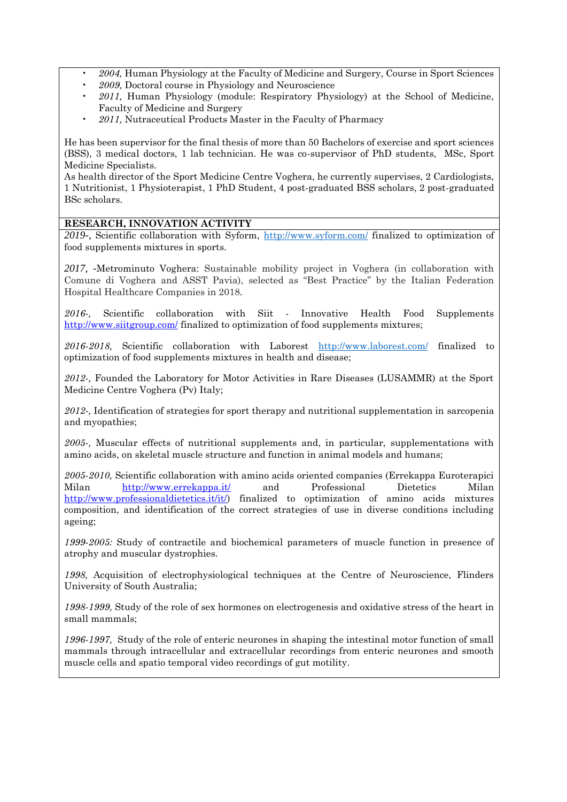- *2004,* Human Physiology at the Faculty of Medicine and Surgery, Course in Sport Sciences
- *2009,* Doctoral course in Physiology and Neuroscience
- *2011,* Human Physiology (module: Respiratory Physiology) at the School of Medicine, Faculty of Medicine and Surgery
- *2011,* Nutraceutical Products Master in the Faculty of Pharmacy

He has been supervisor for the final thesis of more than 50 Bachelors of exercise and sport sciences (BSS), 3 medical doctors, 1 lab technician. He was co-supervisor of PhD students, MSc, Sport Medicine Specialists.

As health director of the Sport Medicine Centre Voghera, he currently supervises, 2 Cardiologists, 1 Nutritionist, 1 Physioterapist, 1 PhD Student, 4 post-graduated BSS scholars, 2 post-graduated BSc scholars.

## **RESEARCH, INNOVATION ACTIVITY**

*2019-,* Scientific collaboration with Syform,<http://www.syform.com/> finalized to optimization of food supplements mixtures in sports.

*2017, -*Metrominuto Voghera: Sustainable mobility project in Voghera (in collaboration with Comune di Voghera and ASST Pavia), selected as "Best Practice" by the Italian Federation Hospital Healthcare Companies in 2018*.*

*2016-,* Scientific collaboration with Siit - Innovative Health Food Supplements <http://www.siitgroup.com/> finalized to optimization of food supplements mixtures;

*2016-2018,* Scientific collaboration with Laborest <http://www.laborest.com/> finalized to optimization of food supplements mixtures in health and disease;

*2012-,* Founded the Laboratory for Motor Activities in Rare Diseases (LUSAMMR) at the Sport Medicine Centre Voghera (Pv) Italy;

*2012-,* Identification of strategies for sport therapy and nutritional supplementation in sarcopenia and myopathies;

*2005-,* Muscular effects of nutritional supplements and, in particular, supplementations with amino acids, on skeletal muscle structure and function in animal models and humans;

*2005-2010,* Scientific collaboration with amino acids oriented companies (Errekappa Euroterapici Milan <http://www.errekappa.it/> and Professional Dietetics Milan [http://www.professionaldietetics.it/it/\)](http://www.professionaldietetics.it/it/) finalized to optimization of amino acids mixtures composition, and identification of the correct strategies of use in diverse conditions including ageing;

*1999-2005:* Study of contractile and biochemical parameters of muscle function in presence of atrophy and muscular dystrophies.

*1998,* Acquisition of electrophysiological techniques at the Centre of Neuroscience, Flinders University of South Australia;

*1998-1999,* Study of the role of sex hormones on electrogenesis and oxidative stress of the heart in small mammals;

*1996-1997,* Study of the role of enteric neurones in shaping the intestinal motor function of small mammals through intracellular and extracellular recordings from enteric neurones and smooth muscle cells and spatio temporal video recordings of gut motility.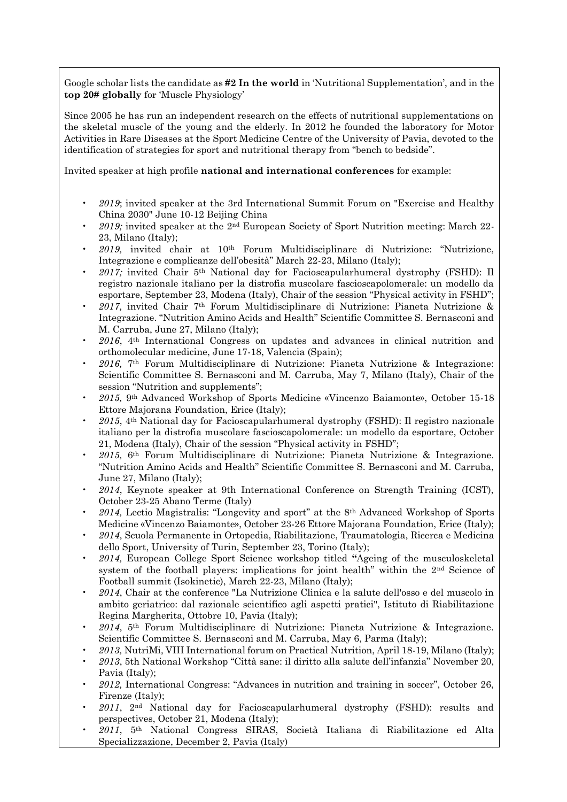Google scholar lists the candidate as **#2 In the world** in 'Nutritional Supplementation', and in the **top 20# globally** for 'Muscle Physiology'

Since 2005 he has run an independent research on the effects of nutritional supplementations on the skeletal muscle of the young and the elderly. In 2012 he founded the laboratory for Motor Activities in Rare Diseases at the Sport Medicine Centre of the University of Pavia, devoted to the identification of strategies for sport and nutritional therapy from "bench to bedside".

Invited speaker at high profile **national and international conferences** for example:

- *2019*; invited speaker at the 3rd International Summit Forum on "Exercise and Healthy China 2030" June 10-12 Beijing China
- *2019;* invited speaker at the 2nd European Society of Sport Nutrition meeting: March 22- 23, Milano (Italy);
- *2019,* invited chair at 10th Forum Multidisciplinare di Nutrizione: "Nutrizione, Integrazione e complicanze dell'obesità" March 22-23, Milano (Italy);
- *2017;* invited Chair 5th National day for Facioscapularhumeral dystrophy (FSHD): Il registro nazionale italiano per la distrofia muscolare fascioscapolomerale: un modello da esportare, September 23, Modena (Italy), Chair of the session "Physical activity in FSHD";
- *2017,* invited Chair 7th Forum Multidisciplinare di Nutrizione: Pianeta Nutrizione & Integrazione. "Nutrition Amino Acids and Health" Scientific Committee S. Bernasconi and M. Carruba, June 27, Milano (Italy);
- *2016*, 4th International Congress on updates and advances in clinical nutrition and orthomolecular medicine, June 17-18, Valencia (Spain);
- *2016,* 7th Forum Multidisciplinare di Nutrizione: Pianeta Nutrizione & Integrazione: Scientific Committee S. Bernasconi and M. Carruba, May 7, Milano (Italy), Chair of the session "Nutrition and supplements";
- *2015,* 9th Advanced Workshop of Sports Medicine «Vincenzo Baiamonte», October 15-18 Ettore Majorana Foundation, Erice (Italy);
- *2015*, 4th National day for Facioscapularhumeral dystrophy (FSHD): Il registro nazionale italiano per la distrofia muscolare fascioscapolomerale: un modello da esportare, October 21, Modena (Italy), Chair of the session "Physical activity in FSHD";
- *2015,* 6th Forum Multidisciplinare di Nutrizione: Pianeta Nutrizione & Integrazione. "Nutrition Amino Acids and Health" Scientific Committee S. Bernasconi and M. Carruba, June 27, Milano (Italy);
- *2014*, Keynote speaker at 9th International Conference on Strength Training (ICST), October 23-25 Abano Terme (Italy)
- *2014,* Lectio Magistralis: "Longevity and sport" at the 8th Advanced Workshop of Sports Medicine «Vincenzo Baiamonte», October 23-26 Ettore Majorana Foundation, Erice (Italy);
- *2014*, Scuola Permanente in Ortopedia, Riabilitazione, Traumatologia, Ricerca e Medicina dello Sport, University of Turin, September 23, Torino (Italy);
- *2014,* European College Sport Science workshop titled **"**Ageing of the musculoskeletal system of the football players: implications for joint health" within the 2nd Science of Football summit (Isokinetic), March 22-23, Milano (Italy);
- *2014*, Chair at the conference "La Nutrizione Clinica e la salute dell'osso e del muscolo in ambito geriatrico: dal razionale scientifico agli aspetti pratici", Istituto di Riabilitazione Regina Margherita, Ottobre 10, Pavia (Italy);
- *2014*, 5th Forum Multidisciplinare di Nutrizione: Pianeta Nutrizione & Integrazione. Scientific Committee S. Bernasconi and M. Carruba, May 6, Parma (Italy);
- *2013,* NutriMi, VIII International forum on Practical Nutrition, April 18-19, Milano (Italy);
- *2013*, 5th National Workshop "Città sane: il diritto alla salute dell'infanzia" November 20, Pavia (Italy);
- *2012,* International Congress: "Advances in nutrition and training in soccer", October 26, Firenze (Italy);
- *2011*, 2nd National day for Facioscapularhumeral dystrophy (FSHD): results and perspectives, October 21, Modena (Italy);
- *2011*, 5th National Congress SIRAS, Società Italiana di Riabilitazione ed Alta Specializzazione, December 2, Pavia (Italy)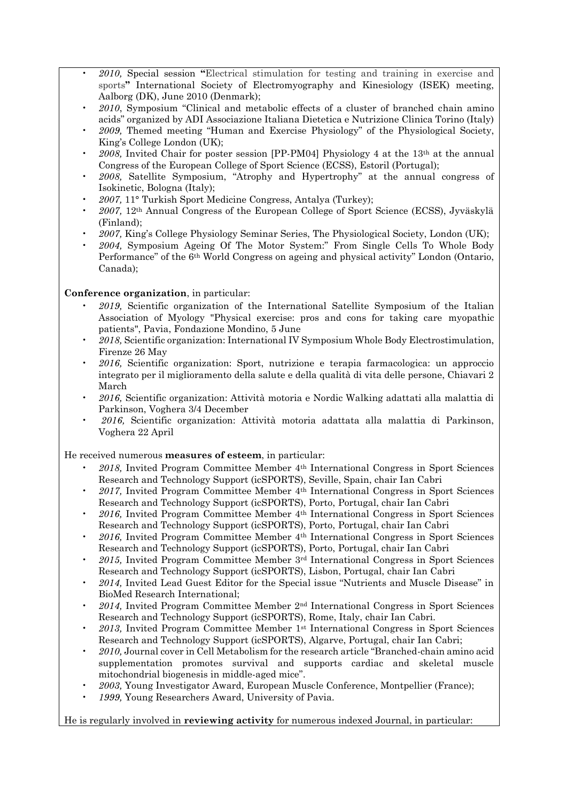- *2010,* Special session **"**Electrical stimulation for testing and training in exercise and sports**"** International Society of Electromyography and Kinesiology (ISEK) meeting, Aalborg (DK), June 2010 (Denmark);
- *2010*, Symposium "Clinical and metabolic effects of a cluster of branched chain amino acids" organized by ADI Associazione Italiana Dietetica e Nutrizione Clinica Torino (Italy)
- *2009,* Themed meeting "Human and Exercise Physiology" of the Physiological Society, King's College London (UK);
- *2008,* Invited Chair for poster session [PP-PM04] Physiology 4 at the 13th at the annual Congress of the European College of Sport Science (ECSS), Estoril (Portugal);
- *2008,* Satellite Symposium, "Atrophy and Hypertrophy" at the annual congress of Isokinetic, Bologna (Italy);
- *2007,* 11° Turkish Sport Medicine Congress, Antalya (Turkey);
- *2007,* 12th Annual Congress of the European College of Sport Science (ECSS), Jyväskylä (Finland);
- *2007,* King's College Physiology Seminar Series, The Physiological Society, London (UK);
- *2004,* Symposium Ageing Of The Motor System:" From Single Cells To Whole Body Performance" of the 6th World Congress on ageing and physical activity" London (Ontario, Canada);

## **Conference organization**, in particular:

- *2019,* Scientific organization of the International Satellite Symposium of the Italian Association of Myology "Physical exercise: pros and cons for taking care myopathic patients", Pavia, Fondazione Mondino, 5 June
- *2018,* Scientific organization: International IV Symposium Whole Body Electrostimulation, Firenze 26 May
- *2016,* Scientific organization: Sport, nutrizione e terapia farmacologica: un approccio integrato per il miglioramento della salute e della qualità di vita delle persone, Chiavari 2 March
- *2016,* Scientific organization: Attività motoria e Nordic Walking adattati alla malattia di Parkinson, Voghera 3/4 December
- *2016,* Scientific organization: Attività motoria adattata alla malattia di Parkinson, Voghera 22 April

He received numerous **measures of esteem**, in particular:

- *2018,* Invited Program Committee Member 4th International Congress in Sport Sciences Research and Technology Support (icSPORTS), Seville, Spain, chair Ian Cabri
- *2017,* Invited Program Committee Member 4th International Congress in Sport Sciences Research and Technology Support (icSPORTS), Porto, Portugal, chair Ian Cabri
- *2016,* Invited Program Committee Member 4th International Congress in Sport Sciences Research and Technology Support (icSPORTS), Porto, Portugal, chair Ian Cabri
- *2016,* Invited Program Committee Member 4th International Congress in Sport Sciences Research and Technology Support (icSPORTS), Porto, Portugal, chair Ian Cabri
- *2015,* Invited Program Committee Member 3rd International Congress in Sport Sciences Research and Technology Support (icSPORTS), Lisbon, Portugal, chair Ian Cabri
- *2014,* Invited Lead Guest Editor for the Special issue "Nutrients and Muscle Disease" in BioMed Research International;
- *2014,* Invited Program Committee Member 2nd International Congress in Sport Sciences Research and Technology Support (icSPORTS), Rome, Italy, chair Ian Cabri.
- *2013,* Invited Program Committee Member 1st International Congress in Sport Sciences Research and Technology Support (icSPORTS), Algarve, Portugal, chair Ian Cabri;
- *2010,* Journal cover in Cell Metabolism for the research article "Branched-chain amino acid supplementation promotes survival and supports cardiac and skeletal muscle mitochondrial biogenesis in middle-aged mice".
- *2003,* Young Investigator Award, European Muscle Conference, Montpellier (France);
- *1999,* Young Researchers Award, University of Pavia.

He is regularly involved in **reviewing activity** for numerous indexed Journal, in particular: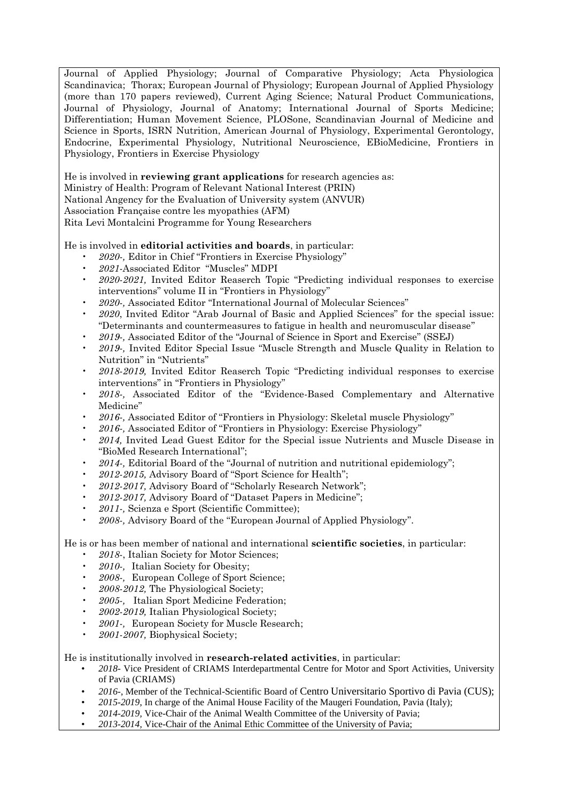Journal of Applied Physiology; Journal of Comparative Physiology; Acta Physiologica Scandinavica; Thorax; European Journal of Physiology; European Journal of Applied Physiology (more than 170 papers reviewed), Current Aging Science; Natural Product Communications, Journal of Physiology, Journal of Anatomy; International Journal of Sports Medicine; Differentiation; Human Movement Science, PLOSone, Scandinavian Journal of Medicine and Science in Sports, ISRN Nutrition, American Journal of Physiology, Experimental Gerontology, Endocrine, Experimental Physiology, Nutritional Neuroscience, EBioMedicine, Frontiers in Physiology, Frontiers in Exercise Physiology

He is involved in **reviewing grant applications** for research agencies as:

Ministry of Health: Program of Relevant National Interest (PRIN)

National Angency for the Evaluation of University system (ANVUR)

Association Française contre les myopathies (AFM)

Rita Levi Montalcini Programme for Young Researchers

He is involved in **editorial activities and boards**, in particular:

- *2020-,* Editor in Chief "Frontiers in Exercise Physiology"
- *2021-*Associated Editor "Muscles" MDPI
- *2020-2021,* Invited Editor Reaserch Topic "Predicting individual responses to exercise interventions" volume II in "Frontiers in Physiology"
- *2020-,* Associated Editor "International Journal of Molecular Sciences"
- *2020*, Invited Editor "Arab Journal of Basic and Applied Sciences" for the special issue: "Determinants and countermeasures to fatigue in health and neuromuscular disease"
- *2019-,* Associated Editor of the "Journal of Science in Sport and Exercise" (SSEJ)
- *2019-,* Invited Editor Special Issue "Muscle Strength and Muscle Quality in Relation to Nutrition" in "Nutrients"
- *2018-2019,* Invited Editor Reaserch Topic "Predicting individual responses to exercise interventions" in "Frontiers in Physiology"
- *2018-,* Associated Editor of the "Evidence-Based Complementary and Alternative Medicine"
- *2016-,* Associated Editor of "Frontiers in Physiology: Skeletal muscle Physiology"
- *2016-,* Associated Editor of "Frontiers in Physiology: Exercise Physiology"
- *2014,* Invited Lead Guest Editor for the Special issue Nutrients and Muscle Disease in "BioMed Research International";
- *2014-,* Editorial Board of the "Journal of nutrition and nutritional epidemiology";
- *2012-2015,* Advisory Board of "Sport Science for Health";
- *2012-2017,* Advisory Board of "Scholarly Research Network";
- *2012-2017,* Advisory Board of "Dataset Papers in Medicine";
- *2011-,* Scienza e Sport (Scientific Committee);
- *2008-,* Advisory Board of the "European Journal of Applied Physiology".

He is or has been member of national and international **scientific societies**, in particular:

- *2018*-, Italian Society for Motor Sciences;
- *2010-,* Italian Society for Obesity;
- *2008-,* European College of Sport Science;
- *2008-2012,* The Physiological Society;
- *2005-,* Italian Sport Medicine Federation;
- *2002-2019,* Italian Physiological Society;
- *2001-,* European Society for Muscle Research;
- *2001-2007,* Biophysical Society;

He is institutionally involved in **research-related activities**, in particular:

- *2018-* Vice President of CRIAMS Interdepartmental Centre for Motor and Sport Activities, University of Pavia (CRIAMS)
- *2016-*, Member of the Technical-Scientific Board of Centro Universitario Sportivo di Pavia (CUS);
- *2015-2019*, In charge of the Animal House Facility of the Maugeri Foundation, Pavia (Italy);
- *2014-2019,* Vice-Chair of the Animal Wealth Committee of the University of Pavia;
- *2013-2014,* Vice-Chair of the Animal Ethic Committee of the University of Pavia;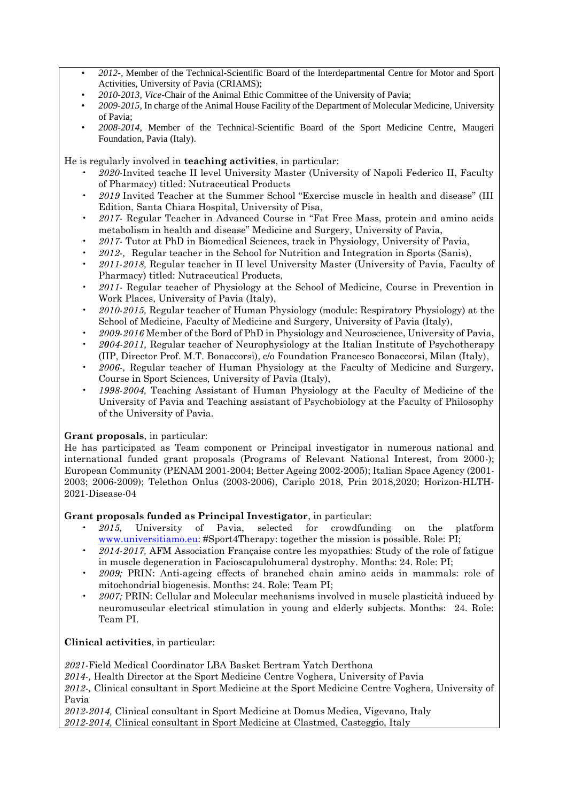- *2012-,* Member of the Technical-Scientific Board of the Interdepartmental Centre for Motor and Sport Activities, University of Pavia (CRIAMS);
- *2010-2013, Vice*-Chair of the Animal Ethic Committee of the University of Pavia;
- *2009-2015,* In charge of the Animal House Facility of the Department of Molecular Medicine, University of Pavia;
- *2008-2014,* Member of the Technical-Scientific Board of the Sport Medicine Centre, Maugeri Foundation, Pavia (Italy).

He is regularly involved in **teaching activities**, in particular:

- *2020*-Invited teache II level University Master (University of Napoli Federico II, Faculty of Pharmacy) titled: Nutraceutical Products
- *2019* Invited Teacher at the Summer School "Exercise muscle in health and disease" (III Edition, Santa Chiara Hospital, University of Pisa,
- *2017-* Regular Teacher in Advanced Course in "Fat Free Mass, protein and amino acids metabolism in health and disease" Medicine and Surgery, University of Pavia,
- *2017-* Tutor at PhD in Biomedical Sciences, track in Physiology, University of Pavia,
- *2012-,* Regular teacher in the School for Nutrition and Integration in Sports (Sanis),
- *2011-2018,* Regular teacher in II level University Master (University of Pavia, Faculty of Pharmacy) titled: Nutraceutical Products,
- *2011-* Regular teacher of Physiology at the School of Medicine, Course in Prevention in Work Places, University of Pavia (Italy),
- *2010-2015,* Regular teacher of Human Physiology (module: Respiratory Physiology) at the School of Medicine, Faculty of Medicine and Surgery, University of Pavia (Italy),
- *2009-2016* Member of the Bord of PhD in Physiology and Neuroscience, University of Pavia,
- *2004-2011,* Regular teacher of Neurophysiology at the Italian Institute of Psychotherapy (IIP, Director Prof. M.T. Bonaccorsi), c/o Foundation Francesco Bonaccorsi, Milan (Italy),
- *2006-,* Regular teacher of Human Physiology at the Faculty of Medicine and Surgery, Course in Sport Sciences, University of Pavia (Italy),
- *1998-2004,* Teaching Assistant of Human Physiology at the Faculty of Medicine of the University of Pavia and Teaching assistant of Psychobiology at the Faculty of Philosophy of the University of Pavia.

# **Grant proposals**, in particular:

He has participated as Team component or Principal investigator in numerous national and international funded grant proposals (Programs of Relevant National Interest, from 2000-); European Community (PENAM 2001-2004; Better Ageing 2002-2005); Italian Space Agency (2001- 2003; 2006-2009); Telethon Onlus (2003-2006), Cariplo 2018, Prin 2018,2020; Horizon-HLTH-2021-Disease-04

## **Grant proposals funded as Principal Investigator**, in particular:

- *2015,* University of Pavia, selected for crowdfunding on the platform [www.universitiamo.eu:](http://www.universitiamo.eu/) #Sport4Therapy: together the mission is possible. Role: PI;
- *2014-2017,* AFM Association Française contre les myopathies: Study of the role of fatigue in muscle degeneration in Facioscapulohumeral dystrophy. Months: 24. Role: PI;
- *2009;* PRIN: Anti-ageing effects of branched chain amino acids in mammals: role of mitochondrial biogenesis. Months: 24. Role: Team PI;
- *2007;* PRIN: Cellular and Molecular mechanisms involved in muscle plasticità induced by neuromuscular electrical stimulation in young and elderly subjects. Months: 24. Role: Team PI.

**Clinical activities**, in particular:

*2021-*Field Medical Coordinator LBA Basket Bertram Yatch Derthona

*2014-,* Health Director at the Sport Medicine Centre Voghera, University of Pavia

*2012-,* Clinical consultant in Sport Medicine at the Sport Medicine Centre Voghera, University of Pavia

*2012-2014,* Clinical consultant in Sport Medicine at Domus Medica, Vigevano, Italy *2012-2014,* Clinical consultant in Sport Medicine at Clastmed, Casteggio, Italy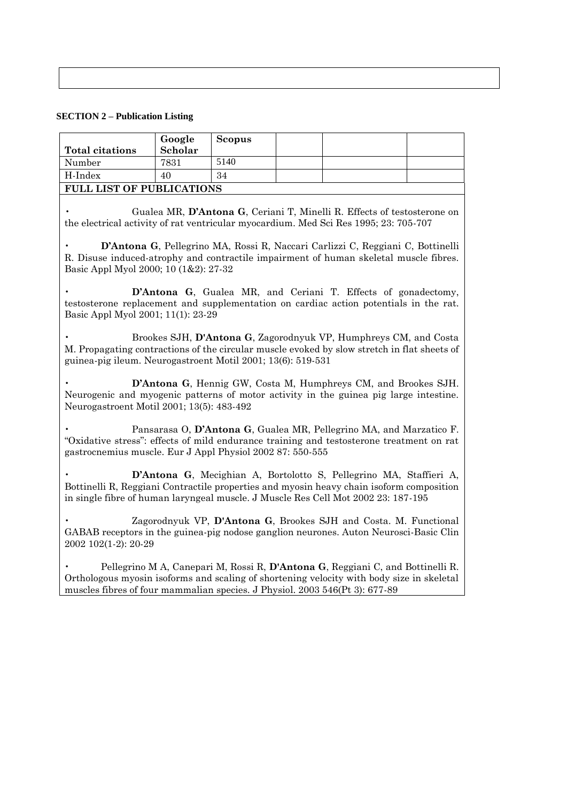## **SECTION 2 – Publication Listing**

|                                                                                                                                                                                                                                                     | Google  | <b>Scopus</b> |  |  |  |  |
|-----------------------------------------------------------------------------------------------------------------------------------------------------------------------------------------------------------------------------------------------------|---------|---------------|--|--|--|--|
| <b>Total citations</b>                                                                                                                                                                                                                              | Scholar |               |  |  |  |  |
| Number                                                                                                                                                                                                                                              | 7831    | 5140          |  |  |  |  |
| H-Index                                                                                                                                                                                                                                             | 40      | 34            |  |  |  |  |
| FULL LIST OF PUBLICATIONS                                                                                                                                                                                                                           |         |               |  |  |  |  |
| Gualea MR, D'Antona G, Ceriani T, Minelli R. Effects of testosterone on<br>the electrical activity of rat ventricular myocardium. Med Sci Res 1995; 23: 705-707                                                                                     |         |               |  |  |  |  |
| D'Antona G, Pellegrino MA, Rossi R, Naccari Carlizzi C, Reggiani C, Bottinelli<br>R. Disuse induced-atrophy and contractile impairment of human skeletal muscle fibres.<br>Basic Appl Myol 2000; 10 (1&2): 27-32                                    |         |               |  |  |  |  |
| D'Antona G, Gualea MR, and Ceriani T. Effects of gonadectomy,<br>testosterone replacement and supplementation on cardiac action potentials in the rat.<br>Basic Appl Myol 2001; 11(1): 23-29                                                        |         |               |  |  |  |  |
| Brookes SJH, D'Antona G, Zagorodnyuk VP, Humphreys CM, and Costa<br>M. Propagating contractions of the circular muscle evoked by slow stretch in flat sheets of<br>guinea-pig ileum. Neurogastroent Motil 2001; 13(6): 519-531                      |         |               |  |  |  |  |
| D'Antona G, Hennig GW, Costa M, Humphreys CM, and Brookes SJH.<br>Neurogenic and myogenic patterns of motor activity in the guinea pig large intestine.<br>Neurogastroent Motil 2001; 13(5): 483-492                                                |         |               |  |  |  |  |
| Pansarasa O, D'Antona G, Gualea MR, Pellegrino MA, and Marzatico F.<br>"Oxidative stress": effects of mild endurance training and testosterone treatment on rat<br>gastrocnemius muscle. Eur J Appl Physiol 2002 87: 550-555                        |         |               |  |  |  |  |
| D'Antona G, Mecighian A, Bortolotto S, Pellegrino MA, Staffieri A,<br>Bottinelli R, Reggiani Contractile properties and myosin heavy chain isoform composition<br>in single fibre of human laryngeal muscle. J Muscle Res Cell Mot 2002 23: 187-195 |         |               |  |  |  |  |
| Zagorodnyuk VP, D'Antona G, Brookes SJH and Costa. M. Functional<br>GABAB receptors in the guinea-pig nodose ganglion neurones. Auton Neurosci-Basic Clin<br>2002 102(1-2): 20-29                                                                   |         |               |  |  |  |  |

• Pellegrino M A, Canepari M, Rossi R, **D'Antona G**, Reggiani C, and Bottinelli R. Orthologous myosin isoforms and scaling of shortening velocity with body size in skeletal muscles fibres of four mammalian species. J Physiol. 2003 546(Pt 3): 677-89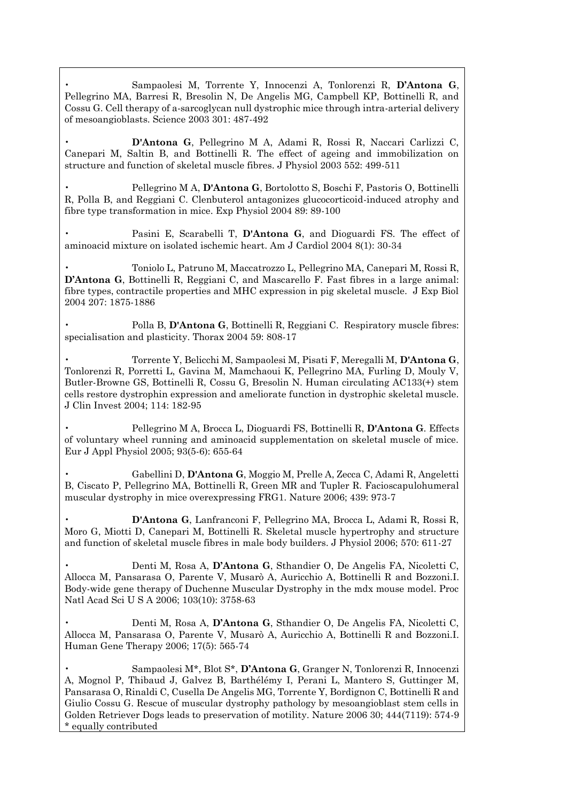• Sampaolesi M, Torrente Y, Innocenzi A, Tonlorenzi R, **D'Antona G**, Pellegrino MA, Barresi R, Bresolin N, De Angelis MG, Campbell KP, Bottinelli R, and Cossu G. Cell therapy of a-sarcoglycan null dystrophic mice through intra-arterial delivery of mesoangioblasts. Science 2003 301: 487-492

• **D'Antona G**, Pellegrino M A, Adami R, Rossi R, Naccari Carlizzi C, Canepari M, Saltin B, and Bottinelli R. The effect of ageing and immobilization on structure and function of skeletal muscle fibres. J Physiol 2003 552: 499-511

• Pellegrino M A, **D'Antona G**, Bortolotto S, Boschi F, Pastoris O, Bottinelli R, Polla B, and Reggiani C. Clenbuterol antagonizes glucocorticoid-induced atrophy and fibre type transformation in mice. Exp Physiol 2004 89: 89-100

• Pasini E, Scarabelli T, **D'Antona G**, and Dioguardi FS. The effect of aminoacid mixture on isolated ischemic heart. Am J Cardiol 2004 8(1): 30-34

• Toniolo L, Patruno M, Maccatrozzo L, Pellegrino MA, Canepari M, Rossi R, **D'Antona G**, Bottinelli R, Reggiani C, and Mascarello F. Fast fibres in a large animal: fibre types, contractile properties and MHC expression in pig skeletal muscle. J Exp Biol 2004 207: 1875-1886

• Polla B, **D'Antona G**, Bottinelli R, Reggiani C. Respiratory muscle fibres: specialisation and plasticity. Thorax 2004 59: 808-17

• Torrente Y, Belicchi M, Sampaolesi M, Pisati F, Meregalli M, **D'Antona G**, Tonlorenzi R, Porretti L, Gavina M, Mamchaoui K, Pellegrino MA, Furling D, Mouly V, Butler-Browne GS, Bottinelli R, Cossu G, Bresolin N. Human circulating AC133(+) stem cells restore dystrophin expression and ameliorate function in dystrophic skeletal muscle. J Clin Invest 2004; 114: 182-95

• Pellegrino M A, Brocca L, Dioguardi FS, Bottinelli R, **D'Antona G**. Effects of voluntary wheel running and aminoacid supplementation on skeletal muscle of mice. Eur J Appl Physiol 2005; 93(5-6): 655-64

• Gabellini D, **D'Antona G**, Moggio M, Prelle A, Zecca C, Adami R, Angeletti B, Ciscato P, Pellegrino MA, Bottinelli R, Green MR and Tupler R. Facioscapulohumeral muscular dystrophy in mice overexpressing FRG1. Nature 2006; 439: 973-7

• **D'Antona G**, Lanfranconi F, Pellegrino MA, Brocca L, Adami R, Rossi R, Moro G, Miotti D, Canepari M, Bottinelli R. Skeletal muscle hypertrophy and structure and function of skeletal muscle fibres in male body builders. J Physiol 2006; 570: 611-27

• Denti M, Rosa A, **D'Antona G**, Sthandier O, De Angelis FA, Nicoletti C, Allocca M, Pansarasa O, Parente V, Musarò A, Auricchio A, Bottinelli R and Bozzoni.I. Body-wide gene therapy of Duchenne Muscular Dystrophy in the mdx mouse model. Proc Natl Acad Sci U S A 2006; 103(10): 3758-63

• Denti M, Rosa A, **D'Antona G**, Sthandier O, De Angelis FA, Nicoletti C, Allocca M, Pansarasa O, Parente V, Musarò A, Auricchio A, Bottinelli R and Bozzoni.I. Human Gene Therapy 2006; 17(5): 565-74

• Sampaolesi M\*, Blot S\*, **D'Antona G**, Granger N, Tonlorenzi R, Innocenzi A, Mognol P, Thibaud J, Galvez B, Barthélémy I, Perani L, Mantero S, Guttinger M, Pansarasa O, Rinaldi C, Cusella De Angelis MG, Torrente Y, Bordignon C, Bottinelli R and Giulio Cossu G. Rescue of muscular dystrophy pathology by mesoangioblast stem cells in Golden Retriever Dogs leads to preservation of motility. Nature 2006 30; 444(7119): 574-9 \* equally contributed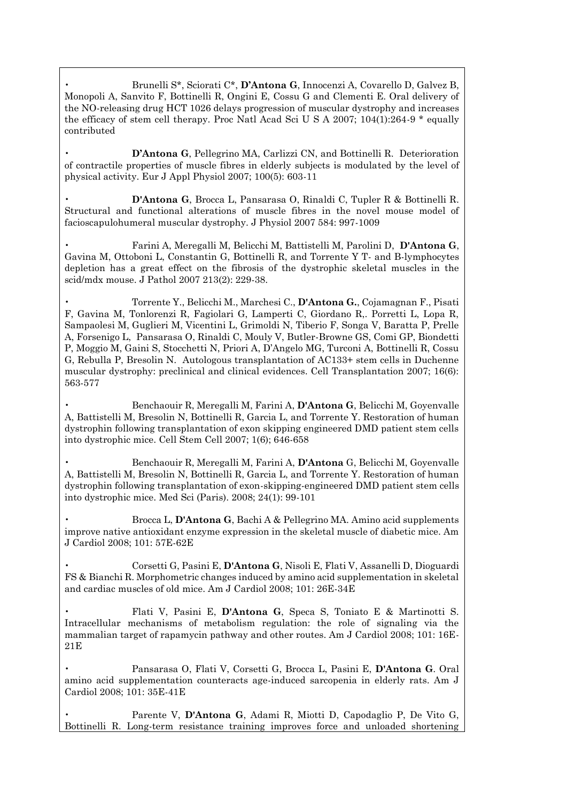• Brunelli S\*, Sciorati C\*, **D'Antona G**, Innocenzi A, Covarello D, Galvez B, Monopoli A, Sanvito F, Bottinelli R, Ongini E, Cossu G and Clementi E. Oral delivery of the NO-releasing drug HCT 1026 delays progression of muscular dystrophy and increases the efficacy of stem cell therapy. Proc Natl Acad Sci U S A 2007; 104(1):264-9 \* equally contributed

• **D'Antona G**, Pellegrino MA, Carlizzi CN, and Bottinelli R. Deterioration of contractile properties of muscle fibres in elderly subjects is modulated by the level of physical activity. Eur J Appl Physiol 2007; 100(5): 603-11

• **D'Antona G**, Brocca L, Pansarasa O, Rinaldi C, Tupler R & Bottinelli R. Structural and functional alterations of muscle fibres in the novel mouse model of facioscapulohumeral muscular dystrophy. J Physiol 2007 584: 997-1009

• Farini A, Meregalli M, Belicchi M, Battistelli M, Parolini D, **D'Antona G**, Gavina M, Ottoboni L, Constantin G, Bottinelli R, and Torrente Y T- and B-lymphocytes depletion has a great effect on the fibrosis of the dystrophic skeletal muscles in the scid/mdx mouse. J Pathol 2007 213(2): 229-38.

• Torrente Y., Belicchi M., Marchesi C., **D'Antona G.**, Cojamagnan F., Pisati F, Gavina M, Tonlorenzi R, Fagiolari G, Lamperti C, Giordano R,. Porretti L, Lopa R, Sampaolesi M, Guglieri M, Vicentini L, Grimoldi N, Tiberio F, Songa V, Baratta P, Prelle A, Forsenigo L, Pansarasa O, Rinaldi C, Mouly V, Butler-Browne GS, Comi GP, Biondetti P, Moggio M, Gaini S, Stocchetti N, Priori A, D'Angelo MG, Turconi A, Bottinelli R, Cossu G, Rebulla P, Bresolin N. Autologous transplantation of AC133+ stem cells in Duchenne muscular dystrophy: preclinical and clinical evidences. Cell Transplantation 2007; 16(6): 563-577

• Benchaouir R, Meregalli M, Farini A, **D'Antona G**, Belicchi M, Goyenvalle A, Battistelli M, Bresolin N, Bottinelli R, Garcia L, and Torrente Y. Restoration of human dystrophin following transplantation of exon skipping engineered DMD patient stem cells into dystrophic mice. Cell Stem Cell 2007; 1(6); 646-658

• Benchaouir R, Meregalli M, Farini A, **D'Antona** G, Belicchi M, Goyenvalle A, Battistelli M, Bresolin N, Bottinelli R, Garcia L, and Torrente Y. Restoration of human dystrophin following transplantation of exon-skipping-engineered DMD patient stem cells into dystrophic mice. Med Sci (Paris). 2008; 24(1): 99-101

• Brocca L, **D'Antona G**, Bachi A & Pellegrino MA. Amino acid supplements improve native antioxidant enzyme expression in the skeletal muscle of diabetic mice. Am J Cardiol 2008; 101: 57E-62E

• Corsetti G, Pasini E, **D'Antona G**, Nisoli E, Flati V, Assanelli D, Dioguardi FS & Bianchi R. Morphometric changes induced by amino acid supplementation in skeletal and cardiac muscles of old mice. Am J Cardiol 2008; 101: 26E-34E

• Flati V, Pasini E, **D'Antona G**, Speca S, Toniato E & Martinotti S. Intracellular mechanisms of metabolism regulation: the role of signaling via the mammalian target of rapamycin pathway and other routes. Am J Cardiol 2008; 101: 16E-21E

• Pansarasa O, Flati V, Corsetti G, Brocca L, Pasini E, **D'Antona G**. Oral amino acid supplementation counteracts age-induced sarcopenia in elderly rats. Am J Cardiol 2008; 101: 35E-41E

• Parente V, **D'Antona G**, Adami R, Miotti D, Capodaglio P, De Vito G, Bottinelli R. Long-term resistance training improves force and unloaded shortening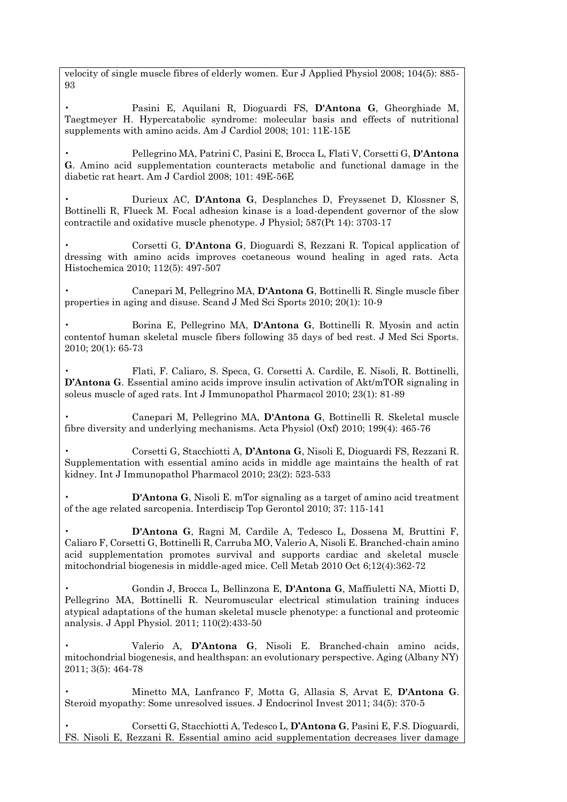velocity of single muscle fibres of elderly women. Eur J Applied Physiol 2008; 104(5): 885- 93

• Pasini E, Aquilani R, Dioguardi FS, **D'Antona G**, Gheorghiade M, Taegtmeyer H. Hypercatabolic syndrome: molecular basis and effects of nutritional supplements with amino acids. Am J Cardiol 2008; 101: 11E-15E

• Pellegrino MA, Patrini C, Pasini E, Brocca L, Flati V, Corsetti G, **D'Antona G**. Amino acid supplementation counteracts metabolic and functional damage in the diabetic rat heart. Am J Cardiol 2008; 101: 49E-56E

• Durieux AC, **D'Antona G**, Desplanches D, Freyssenet D, Klossner S, Bottinelli R, Flueck M. Focal adhesion kinase is a load-dependent governor of the slow contractile and oxidative muscle phenotype. J Physiol; 587(Pt 14): 3703-17

• Corsetti G, **D'Antona G**, Dioguardi S, Rezzani R. Topical application of dressing with amino acids improves coetaneous wound healing in aged rats. Acta Histochemica 2010; 112(5): 497-507

• Canepari M, Pellegrino MA, **D'Antona G**, Bottinelli R. Single muscle fiber properties in aging and disuse. Scand J Med Sci Sports 2010; 20(1): 10-9

• Borina E, Pellegrino MA, **D'Antona G**, Bottinelli R. Myosin and actin contentof human skeletal muscle fibers following 35 days of bed rest. J Med Sci Sports. 2010; 20(1): 65-73

• Flati, F. Caliaro, S. Speca, G. Corsetti A. Cardile, E. Nisoli, R. Bottinelli, **D'Antona G**. Essential amino acids improve insulin activation of Akt/mTOR signaling in soleus muscle of aged rats. Int J Immunopathol Pharmacol 2010; 23(1): 81-89

• Canepari M, Pellegrino MA, **D'Antona G**, Bottinelli R. Skeletal muscle fibre diversity and underlying mechanisms. Acta Physiol (Oxf) 2010; 199(4): 465-76

• Corsetti G, Stacchiotti A, **D'Antona G**, Nisoli E, Dioguardi FS, Rezzani R. Supplementation with essential amino acids in middle age maintains the health of rat kidney. Int J Immunopathol Pharmacol 2010; 23(2): 523-533

• **D'Antona G**, Nisoli E. mTor signaling as a target of amino acid treatment of the age related sarcopenia. Interdiscip Top Gerontol 2010; 37: 115-141

• **D'Antona G**, Ragni M, Cardile A, Tedesco L, Dossena M, Bruttini F, Caliaro F, Corsetti G, Bottinelli R, Carruba MO, Valerio A, Nisoli E. Branched-chain amino acid supplementation promotes survival and supports cardiac and skeletal muscle mitochondrial biogenesis in middle-aged mice. Cell Metab 2010 Oct 6;12(4):362-72

• Gondin J, Brocca L, Bellinzona E, **D'Antona G**, Maffiuletti NA, Miotti D, Pellegrino MA, Bottinelli R. Neuromuscular electrical stimulation training induces atypical adaptations of the human skeletal muscle phenotype: a functional and proteomic analysis. J Appl Physiol. 2011; 110(2):433-50

• Valerio A, **D'Antona G**, Nisoli E. Branched-chain amino acids, mitochondrial biogenesis, and healthspan: an evolutionary perspective. Aging (Albany NY) 2011; 3(5): 464-78

• Minetto MA, Lanfranco F, Motta G, Allasia S, Arvat E, **D'Antona G**. Steroid myopathy: Some unresolved issues. J Endocrinol Invest 2011; 34(5): 370-5

• Corsetti G, Stacchiotti A, Tedesco L, **D'Antona G**, Pasini E, F.S. Dioguardi, FS. Nisoli E, Rezzani R. Essential amino acid supplementation decreases liver damage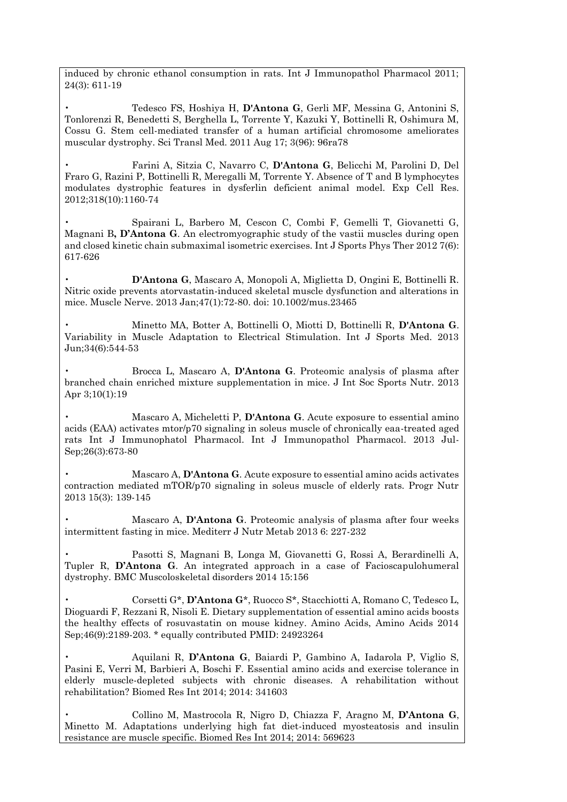induced by chronic ethanol consumption in rats. Int J Immunopathol Pharmacol 2011; 24(3): 611-19

• Tedesco FS, Hoshiya H, **D'Antona G**, Gerli MF, Messina G, Antonini S, Tonlorenzi R, Benedetti S, Berghella L, Torrente Y, Kazuki Y, Bottinelli R, Oshimura M, Cossu G. Stem cell-mediated transfer of a human artificial chromosome ameliorates muscular dystrophy. Sci Transl Med. 2011 Aug 17; 3(96): 96ra78

• Farini A, Sitzia C, Navarro C, **D'Antona G**, Belicchi M, Parolini D, Del Fraro G, Razini P, Bottinelli R, Meregalli M, Torrente Y. Absence of T and B lymphocytes modulates dystrophic features in dysferlin deficient animal model. Exp Cell Res. 2012;318(10):1160-74

• Spairani L, Barbero M, Cescon C, Combi F, Gemelli T, Giovanetti G, Magnani B**, D'Antona G**. An electromyographic study of the vastii muscles during open and closed kinetic chain submaximal isometric exercises. Int J Sports Phys Ther 2012 7(6): 617-626

• **D'Antona G**, Mascaro A, Monopoli A, Miglietta D, Ongini E, Bottinelli R. Nitric oxide prevents atorvastatin-induced skeletal muscle dysfunction and alterations in mice. Muscle Nerve. 2013 Jan;47(1):72-80. doi: 10.1002/mus.23465

• Minetto MA, Botter A, Bottinelli O, Miotti D, Bottinelli R, **D'Antona G**. Variability in Muscle Adaptation to Electrical Stimulation. Int J Sports Med. 2013 Jun;34(6):544-53

• Brocca L, Mascaro A, **D'Antona G**. Proteomic analysis of plasma after branched chain enriched mixture supplementation in mice. J Int Soc Sports Nutr. 2013 Apr 3;10(1):19

• Mascaro A, Micheletti P, **D'Antona G**. Acute exposure to essential amino acids (EAA) activates mtor/p70 signaling in soleus muscle of chronically eaa-treated aged rats Int J Immunophatol Pharmacol. Int J Immunopathol Pharmacol. 2013 Jul-Sep;26(3):673-80

• Mascaro A, **D'Antona G**. Acute exposure to essential amino acids activates contraction mediated mTOR/p70 signaling in soleus muscle of elderly rats. Progr Nutr 2013 15(3): 139-145

• Mascaro A, **D'Antona G**. Proteomic analysis of plasma after four weeks intermittent fasting in mice. Mediterr J Nutr Metab 2013 6: 227-232

• Pasotti S, Magnani B, Longa M, Giovanetti G, Rossi A, Berardinelli A, Tupler R, **D'Antona G**. An integrated approach in a case of Facioscapulohumeral dystrophy. BMC Muscoloskeletal disorders 2014 15:156

• Corsetti G\*, **D'Antona G**\*, Ruocco S\*, Stacchiotti A, Romano C, Tedesco L, Dioguardi F, Rezzani R, Nisoli E. Dietary supplementation of essential amino acids boosts the healthy effects of rosuvastatin on mouse kidney. Amino Acids, Amino Acids 2014 Sep;46(9):2189-203. \* equally contributed PMID: 24923264

• Aquilani R, **D'Antona G**, Baiardi P, Gambino A, Iadarola P, Viglio S, Pasini E, Verri M, Barbieri A, Boschi F. Essential amino acids and exercise tolerance in elderly muscle-depleted subjects with chronic diseases. A rehabilitation without rehabilitation? Biomed Res Int 2014; 2014: 341603

• Collino M, Mastrocola R, Nigro D, Chiazza F, Aragno M, **D'Antona G**, Minetto M. Adaptations underlying high fat diet-induced myosteatosis and insulin resistance are muscle specific. Biomed Res Int 2014; 2014: 569623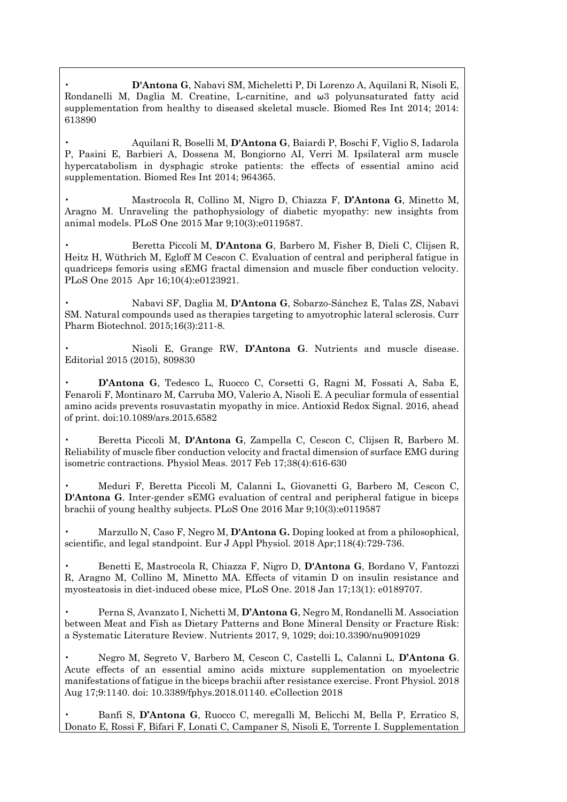• **D'Antona G**, Nabavi SM, Micheletti P, Di Lorenzo A, Aquilani R, Nisoli E, Rondanelli M, Daglia M. Creatine, L-carnitine, and ω3 polyunsaturated fatty acid supplementation from healthy to diseased skeletal muscle. Biomed Res Int 2014; 2014: 613890

• Aquilani R, Boselli M, **D'Antona G**, Baiardi P, Boschi F, Viglio S, Iadarola P, Pasini E, Barbieri A, Dossena M, Bongiorno AI, Verri M. Ipsilateral arm muscle hypercatabolism in dysphagic stroke patients: the effects of essential amino acid supplementation. Biomed Res Int 2014; 964365.

• Mastrocola R, Collino M, Nigro D, Chiazza F, **D'Antona G**, Minetto M, Aragno M. Unraveling the pathophysiology of diabetic myopathy: new insights from animal models. PLoS One 2015 Mar 9;10(3):e0119587.

• Beretta Piccoli M, **D'Antona G**, Barbero M, Fisher B, Dieli C, Clijsen R, Heitz H, Wüthrich M, Egloff M Cescon C. Evaluation of central and peripheral fatigue in quadriceps femoris using sEMG fractal dimension and muscle fiber conduction velocity. PLoS One 2015 Apr 16;10(4):e0123921.

• Nabavi SF, Daglia M, **D'Antona G**, Sobarzo-Sánchez E, Talas ZS, Nabavi SM. Natural compounds used as therapies targeting to amyotrophic lateral sclerosis. Curr Pharm Biotechnol. 2015;16(3):211-8.

• Nisoli E, Grange RW, **D'Antona G**. Nutrients and muscle disease. Editorial 2015 (2015), 809830

• **D'Antona G**, Tedesco L, Ruocco C, Corsetti G, Ragni M, Fossati A, Saba E, Fenaroli F, Montinaro M, Carruba MO, Valerio A, Nisoli E. A peculiar formula of essential amino acids prevents rosuvastatin myopathy in mice. Antioxid Redox Signal. 2016, ahead of print. doi:10.1089/ars.2015.6582

• Beretta Piccoli M, **D'Antona G**, Zampella C, Cescon C, Clijsen R, Barbero M. Reliability of muscle fiber conduction velocity and fractal dimension of surface EMG during isometric contractions. Physiol Meas. 2017 Feb 17;38(4):616-630

• Meduri F, Beretta Piccoli M, Calanni L, Giovanetti G, Barbero M, Cescon C, **D'Antona G**. Inter-gender sEMG evaluation of central and peripheral fatigue in biceps brachii of young healthy subjects. PLoS One 2016 Mar 9;10(3):e0119587

• Marzullo N, Caso F, Negro M, **D'Antona G.** Doping looked at from a philosophical, scientific, and legal standpoint. Eur J Appl Physiol. 2018 Apr;118(4):729-736.

• Benetti E, Mastrocola R, Chiazza F, Nigro D, **D'Antona G**, Bordano V, Fantozzi R, Aragno M, Collino M, Minetto MA. Effects of vitamin D on insulin resistance and myosteatosis in diet-induced obese mice, PLoS One. 2018 Jan 17;13(1): e0189707.

• Perna S, Avanzato I, Nichetti M, **D'Antona G**, Negro M, Rondanelli M. Association between Meat and Fish as Dietary Patterns and Bone Mineral Density or Fracture Risk: a Systematic Literature Review. Nutrients 2017, 9, 1029; doi:10.3390/nu9091029

• Negro M, Segreto V, Barbero M, Cescon C, Castelli L, Calanni L, **D'Antona G**. Acute effects of an essential amino acids mixture supplementation on myoelectric manifestations of fatigue in the biceps brachii after resistance exercise. Front Physiol. 2018 Aug 17;9:1140. doi: 10.3389/fphys.2018.01140. eCollection 2018

• Banfi S, **D'Antona G**, Ruocco C, meregalli M, Belicchi M, Bella P, Erratico S, Donato E, Rossi F, Bifari F, Lonati C, Campaner S, Nisoli E, Torrente I. Supplementation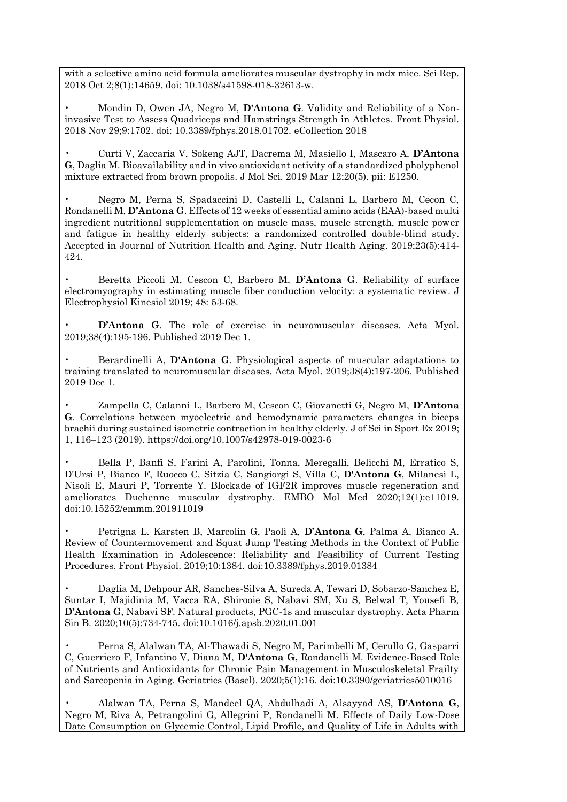with a selective amino acid formula ameliorates muscular dystrophy in mdx mice. Sci Rep. 2018 Oct 2;8(1):14659. doi: 10.1038/s41598-018-32613-w.

• Mondin D, Owen JA, Negro M, **D'Antona G**. Validity and Reliability of a Noninvasive Test to Assess Quadriceps and Hamstrings Strength in Athletes. Front Physiol. 2018 Nov 29;9:1702. doi: 10.3389/fphys.2018.01702. eCollection 2018

• Curti V, Zaccaria V, Sokeng AJT, Dacrema M, Masiello I, Mascaro A, **D'Antona G**, Daglia M. Bioavailability and in vivo antioxidant activity of a standardized pholyphenol mixture extracted from brown propolis. J Mol Sci. 2019 Mar 12;20(5). pii: E1250.

• Negro M, Perna S, Spadaccini D, Castelli L, Calanni L, Barbero M, Cecon C, Rondanelli M, **D'Antona G**. Effects of 12 weeks of essential amino acids (EAA)-based multi ingredient nutritional supplementation on muscle mass, muscle strength, muscle power and fatigue in healthy elderly subjects: a randomized controlled double-blind study. Accepted in Journal of Nutrition Health and Aging. Nutr Health Aging. 2019;23(5):414- 424.

• Beretta Piccoli M, Cescon C, Barbero M, **D'Antona G**. Reliability of surface electromyography in estimating muscle fiber conduction velocity: a systematic review. J Electrophysiol Kinesiol 2019; 48: 53-68.

• **D'Antona G**. The role of exercise in neuromuscular diseases. Acta Myol. 2019;38(4):195-196. Published 2019 Dec 1.

• Berardinelli A, **D'Antona G**. Physiological aspects of muscular adaptations to training translated to neuromuscular diseases. Acta Myol. 2019;38(4):197-206. Published 2019 Dec 1.

• Zampella C, Calanni L, Barbero M, Cescon C, Giovanetti G, Negro M, **D'Antona G**. Correlations between myoelectric and hemodynamic parameters changes in biceps brachii during sustained isometric contraction in healthy elderly. J of Sci in Sport Ex 2019; 1, 116–123 (2019). https://doi.org/10.1007/s42978-019-0023-6

• Bella P, Banfi S, Farini A, Parolini, Tonna, Meregalli, Belicchi M, Erratico S, D'Ursi P, Bianco F, Ruocco C, Sitzia C, Sangiorgi S, Villa C, **D'Antona G**, Milanesi L, Nisoli E, Mauri P, Torrente Y. Blockade of IGF2R improves muscle regeneration and ameliorates Duchenne muscular dystrophy. EMBO Mol Med 2020;12(1):e11019. doi:10.15252/emmm.201911019

• Petrigna L. Karsten B, Marcolin G, Paoli A, **D'Antona G**, Palma A, Bianco A. Review of Countermovement and Squat Jump Testing Methods in the Context of Public Health Examination in Adolescence: Reliability and Feasibility of Current Testing Procedures. Front Physiol. 2019;10:1384. doi:10.3389/fphys.2019.01384

• Daglia M, Dehpour AR, Sanches-Silva A, Sureda A, Tewari D, Sobarzo-Sanchez E, Suntar I, Majidinia M, Vacca RA, Shirooie S, Nabavi SM, Xu S, Belwal T, Yousefi B, **D'Antona G**, Nabavi SF. Natural products, PGC-1s and muscular dystrophy. Acta Pharm Sin B. 2020;10(5):734-745. doi:10.1016/j.apsb.2020.01.001

• Perna S, Alalwan TA, Al-Thawadi S, Negro M, Parimbelli M, Cerullo G, Gasparri C, Guerriero F, Infantino V, Diana M, **D'Antona G,** Rondanelli M. Evidence-Based Role of Nutrients and Antioxidants for Chronic Pain Management in Musculoskeletal Frailty and Sarcopenia in Aging. Geriatrics (Basel). 2020;5(1):16. doi:10.3390/geriatrics5010016

• Alalwan TA, Perna S, Mandeel QA, Abdulhadi A, Alsayyad AS, **D'Antona G**, Negro M, Riva A, Petrangolini G, Allegrini P, Rondanelli M. Effects of Daily Low-Dose Date Consumption on Glycemic Control, Lipid Profile, and Quality of Life in Adults with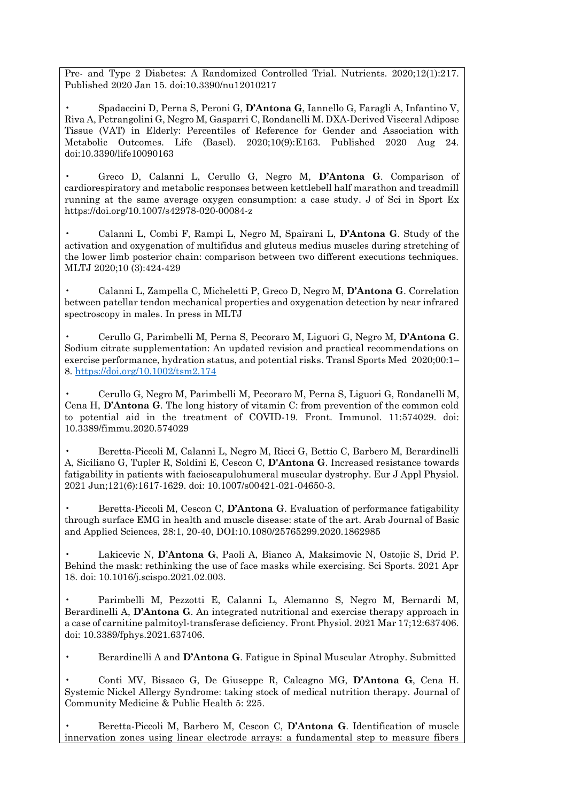Pre- and Type 2 Diabetes: A Randomized Controlled Trial. Nutrients. 2020;12(1):217. Published 2020 Jan 15. doi:10.3390/nu12010217

• Spadaccini D, Perna S, Peroni G, **D'Antona G**, Iannello G, Faragli A, Infantino V, Riva A, Petrangolini G, Negro M, Gasparri C, Rondanelli M. DXA-Derived Visceral Adipose Tissue (VAT) in Elderly: Percentiles of Reference for Gender and Association with Metabolic Outcomes. Life (Basel). 2020;10(9):E163. Published 2020 Aug 24. doi:10.3390/life10090163

• Greco D, Calanni L, Cerullo G, Negro M, **D'Antona G**. Comparison of cardiorespiratory and metabolic responses between kettlebell half marathon and treadmill running at the same average oxygen consumption: a case study. J of Sci in Sport Ex https://doi.org/10.1007/s42978-020-00084-z

• Calanni L, Combi F, Rampi L, Negro M, Spairani L, **D'Antona G**. Study of the activation and oxygenation of multifidus and gluteus medius muscles during stretching of the lower limb posterior chain: comparison between two different executions techniques. MLTJ 2020;10 (3):424-429

• Calanni L, Zampella C, Micheletti P, Greco D, Negro M, **D'Antona G**. Correlation between patellar tendon mechanical properties and oxygenation detection by near infrared spectroscopy in males. In press in MLTJ

• Cerullo G, Parimbelli M, Perna S, Pecoraro M, Liguori G, Negro M, **D'Antona G**. Sodium citrate supplementation: An updated revision and practical recommendations on exercise performance, hydration status, and potential risks. Transl Sports Med 2020;00:1– 8. <https://doi.org/10.1002/tsm2.174>

• Cerullo G, Negro M, Parimbelli M, Pecoraro M, Perna S, Liguori G, Rondanelli M, Cena H, **D'Antona G**. The long history of vitamin C: from prevention of the common cold to potential aid in the treatment of COVID-19. Front. Immunol. 11:574029. doi: 10.3389/fimmu.2020.574029

• Beretta-Piccoli M, Calanni L, Negro M, Ricci G, Bettio C, Barbero M, Berardinelli A, Siciliano G, Tupler R, Soldini E, Cescon C, **D'Antona G**. Increased resistance towards fatigability in patients with facioscapulohumeral muscular dystrophy. Eur J Appl Physiol. 2021 Jun;121(6):1617-1629. doi: 10.1007/s00421-021-04650-3.

• Beretta-Piccoli M, Cescon C, **D'Antona G**. Evaluation of performance fatigability through surface EMG in health and muscle disease: state of the art. Arab Journal of Basic and Applied Sciences, 28:1, 20-40, DOI:10.1080/25765299.2020.1862985

• Lakicevic N, **D'Antona G**, Paoli A, Bianco A, Maksimovic N, Ostojic S, Drid P. Behind the mask: rethinking the use of face masks while exercising. Sci Sports. 2021 Apr 18. doi: 10.1016/j.scispo.2021.02.003.

• Parimbelli M, Pezzotti E, Calanni L, Alemanno S, Negro M, Bernardi M, Berardinelli A, **D'Antona G**. An integrated nutritional and exercise therapy approach in a case of carnitine palmitoyl-transferase deficiency. Front Physiol. 2021 Mar 17;12:637406. doi: 10.3389/fphys.2021.637406.

• Berardinelli A and **D'Antona G**. Fatigue in Spinal Muscular Atrophy. Submitted

• Conti MV, Bissaco G, De Giuseppe R, Calcagno MG, **D'Antona G**, Cena H. Systemic Nickel Allergy Syndrome: taking stock of medical nutrition therapy. Journal of Community Medicine & Public Health 5: 225.

• Beretta-Piccoli M, Barbero M, Cescon C, **D'Antona G**. Identification of muscle innervation zones using linear electrode arrays: a fundamental step to measure fibers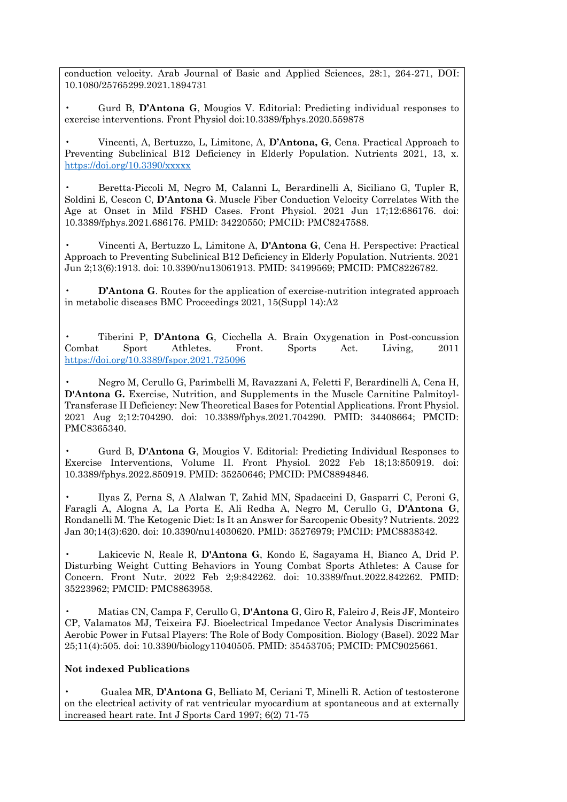conduction velocity. Arab Journal of Basic and Applied Sciences, 28:1, 264-271, DOI: 10.1080/25765299.2021.1894731

• Gurd B, **D'Antona G**, Mougios V. Editorial: Predicting individual responses to exercise interventions. Front Physiol doi:10.3389/fphys.2020.559878

• Vincenti, A, Bertuzzo, L, Limitone, A, **D'Antona, G**, Cena. Practical Approach to Preventing Subclinical B12 Deficiency in Elderly Population. Nutrients 2021, 13, x. <https://doi.org/10.3390/xxxxx>

• Beretta-Piccoli M, Negro M, Calanni L, Berardinelli A, Siciliano G, Tupler R, Soldini E, Cescon C, **D'Antona G**. Muscle Fiber Conduction Velocity Correlates With the Age at Onset in Mild FSHD Cases. Front Physiol. 2021 Jun 17;12:686176. doi: 10.3389/fphys.2021.686176. PMID: 34220550; PMCID: PMC8247588.

• Vincenti A, Bertuzzo L, Limitone A, **D'Antona G**, Cena H. Perspective: Practical Approach to Preventing Subclinical B12 Deficiency in Elderly Population. Nutrients. 2021 Jun 2;13(6):1913. doi: 10.3390/nu13061913. PMID: 34199569; PMCID: PMC8226782.

**D'Antona G**. Routes for the application of exercise-nutrition integrated approach in metabolic diseases BMC Proceedings 2021, 15(Suppl 14):A2

• Tiberini P, **D'Antona G**, Cicchella A. Brain Oxygenation in Post-concussion Combat Sport Athletes. Front. Sports Act. Living, 2011 <https://doi.org/10.3389/fspor.2021.725096>

• Negro M, Cerullo G, Parimbelli M, Ravazzani A, Feletti F, Berardinelli A, Cena H, **D'Antona G.** Exercise, Nutrition, and Supplements in the Muscle Carnitine Palmitoyl-Transferase II Deficiency: New Theoretical Bases for Potential Applications. Front Physiol. 2021 Aug 2;12:704290. doi: 10.3389/fphys.2021.704290. PMID: 34408664; PMCID: PMC8365340.

• Gurd B, **D'Antona G**, Mougios V. Editorial: Predicting Individual Responses to Exercise Interventions, Volume II. Front Physiol. 2022 Feb 18;13:850919. doi: 10.3389/fphys.2022.850919. PMID: 35250646; PMCID: PMC8894846.

• Ilyas Z, Perna S, A Alalwan T, Zahid MN, Spadaccini D, Gasparri C, Peroni G, Faragli A, Alogna A, La Porta E, Ali Redha A, Negro M, Cerullo G, **D'Antona G**, Rondanelli M. The Ketogenic Diet: Is It an Answer for Sarcopenic Obesity? Nutrients. 2022 Jan 30;14(3):620. doi: 10.3390/nu14030620. PMID: 35276979; PMCID: PMC8838342.

• Lakicevic N, Reale R, **D'Antona G**, Kondo E, Sagayama H, Bianco A, Drid P. Disturbing Weight Cutting Behaviors in Young Combat Sports Athletes: A Cause for Concern. Front Nutr. 2022 Feb 2;9:842262. doi: 10.3389/fnut.2022.842262. PMID: 35223962; PMCID: PMC8863958.

• Matias CN, Campa F, Cerullo G, **D'Antona G**, Giro R, Faleiro J, Reis JF, Monteiro CP, Valamatos MJ, Teixeira FJ. Bioelectrical Impedance Vector Analysis Discriminates Aerobic Power in Futsal Players: The Role of Body Composition. Biology (Basel). 2022 Mar 25;11(4):505. doi: 10.3390/biology11040505. PMID: 35453705; PMCID: PMC9025661.

## **Not indexed Publications**

• Gualea MR, **D'Antona G**, Belliato M, Ceriani T, Minelli R. Action of testosterone on the electrical activity of rat ventricular myocardium at spontaneous and at externally increased heart rate. Int J Sports Card 1997; 6(2) 71-75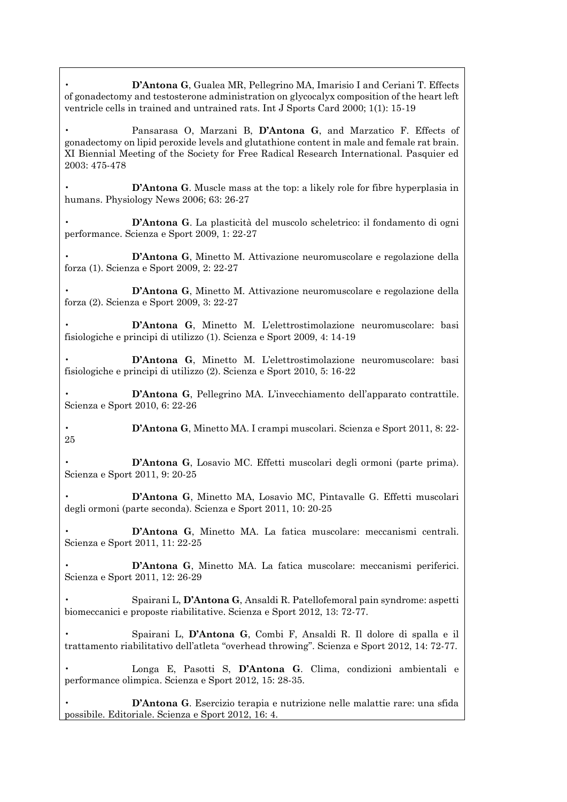• **D'Antona G**, Gualea MR, Pellegrino MA, Imarisio I and Ceriani T. Effects of gonadectomy and testosterone administration on glycocalyx composition of the heart left ventricle cells in trained and untrained rats. Int J Sports Card 2000; 1(1): 15-19

• Pansarasa O, Marzani B, **D'Antona G**, and Marzatico F. Effects of gonadectomy on lipid peroxide levels and glutathione content in male and female rat brain. XI Biennial Meeting of the Society for Free Radical Research International. Pasquier ed 2003: 475-478

**D'Antona G**. Muscle mass at the top: a likely role for fibre hyperplasia in humans. Physiology News 2006; 63: 26-27

• **D'Antona G**. La plasticità del muscolo scheletrico: il fondamento di ogni performance. Scienza e Sport 2009, 1: 22-27

• **D'Antona G**, Minetto M. Attivazione neuromuscolare e regolazione della forza (1). Scienza e Sport 2009, 2: 22-27

• **D'Antona G**, Minetto M. Attivazione neuromuscolare e regolazione della forza (2). Scienza e Sport 2009, 3: 22-27

• **D'Antona G**, Minetto M. L'elettrostimolazione neuromuscolare: basi fisiologiche e principi di utilizzo (1). Scienza e Sport 2009, 4: 14-19

• **D'Antona G**, Minetto M. L'elettrostimolazione neuromuscolare: basi fisiologiche e principi di utilizzo (2). Scienza e Sport 2010, 5: 16-22

• **D'Antona G**, Pellegrino MA. L'invecchiamento dell'apparato contrattile. Scienza e Sport 2010, 6: 22-26

• **D'Antona G**, Minetto MA. I crampi muscolari. Scienza e Sport 2011, 8: 22- 25

- **D'Antona G**, Losavio MC. Effetti muscolari degli ormoni (parte prima). Scienza e Sport 2011, 9: 20-25
- **D'Antona G**, Minetto MA, Losavio MC, Pintavalle G. Effetti muscolari degli ormoni (parte seconda). Scienza e Sport 2011, 10: 20-25

• **D'Antona G**, Minetto MA. La fatica muscolare: meccanismi centrali. Scienza e Sport 2011, 11: 22-25

• **D'Antona G**, Minetto MA. La fatica muscolare: meccanismi periferici. Scienza e Sport 2011, 12: 26-29

• Spairani L, **D'Antona G**, Ansaldi R. Patellofemoral pain syndrome: aspetti biomeccanici e proposte riabilitative. Scienza e Sport 2012, 13: 72-77.

• Spairani L, **D'Antona G**, Combi F, Ansaldi R. Il dolore di spalla e il trattamento riabilitativo dell'atleta "overhead throwing". Scienza e Sport 2012, 14: 72-77.

• Longa E, Pasotti S, **D'Antona G**. Clima, condizioni ambientali e performance olimpica. Scienza e Sport 2012, 15: 28-35.

• **D'Antona G**. Esercizio terapia e nutrizione nelle malattie rare: una sfida possibile. Editoriale. Scienza e Sport 2012, 16: 4.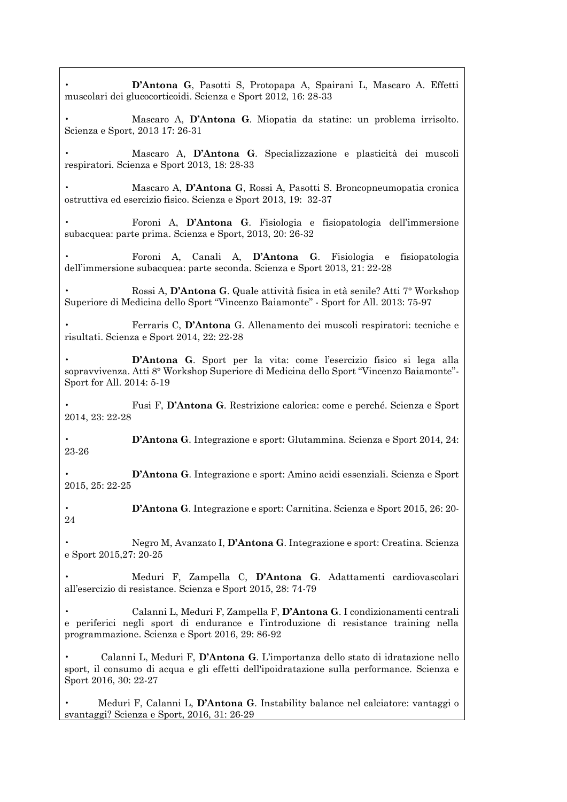| D'Antona G, Pasotti S, Protopapa A, Spairani L, Mascaro A. Effetti<br>muscolari dei glucocorticoidi. Scienza e Sport 2012, 16: 28-33                                                                              |
|-------------------------------------------------------------------------------------------------------------------------------------------------------------------------------------------------------------------|
| Mascaro A, D'Antona G. Miopatia da statine: un problema irrisolto.<br>Scienza e Sport, 2013 17: 26-31                                                                                                             |
| Mascaro A, D'Antona G. Specializzazione e plasticità dei muscoli<br>respiratori. Scienza e Sport 2013, 18: 28-33                                                                                                  |
| Mascaro A, D'Antona G, Rossi A, Pasotti S. Broncopneumopatia cronica<br>ostruttiva ed esercizio fisico. Scienza e Sport 2013, 19: 32-37                                                                           |
| Foroni A, D'Antona G. Fisiologia e fisiopatologia dell'immersione<br>subacquea: parte prima. Scienza e Sport, 2013, 20: 26-32                                                                                     |
| Foroni A, Canali A, D'Antona G. Fisiologia e fisiopatologia<br>dell'immersione subacquea: parte seconda. Scienza e Sport 2013, 21: 22-28                                                                          |
| Rossi A, D'Antona G. Quale attività fisica in età senile? Atti 7° Workshop<br>Superiore di Medicina dello Sport "Vincenzo Baiamonte" - Sport for All. 2013: 75-97                                                 |
| Ferraris C, D'Antona G. Allenamento dei muscoli respiratori: tecniche e<br>risultati. Scienza e Sport 2014, 22: 22-28                                                                                             |
| D'Antona G. Sport per la vita: come l'esercizio fisico si lega alla<br>sopravvivenza. Atti 8° Workshop Superiore di Medicina dello Sport "Vincenzo Baiamonte"-<br>Sport for All. 2014: 5-19                       |
| Fusi F, D'Antona G. Restrizione calorica: come e perché. Scienza e Sport<br>2014, 23: 22-28                                                                                                                       |
| D'Antona G. Integrazione e sport: Glutammina. Scienza e Sport 2014, 24:<br>23-26                                                                                                                                  |
| D'Antona G. Integrazione e sport: Amino acidi essenziali. Scienza e Sport<br>2015, 25: 22-25                                                                                                                      |
| D'Antona G. Integrazione e sport: Carnitina. Scienza e Sport 2015, 26: 20-<br>24                                                                                                                                  |
| Negro M, Avanzato I, D'Antona G. Integrazione e sport: Creatina. Scienza<br>e Sport 2015,27: 20-25                                                                                                                |
| Meduri F, Zampella C, D'Antona G. Adattamenti cardiovascolari<br>all'esercizio di resistance. Scienza e Sport 2015, 28: 74-79                                                                                     |
| Calanni L, Meduri F, Zampella F, D'Antona G. I condizionamenti centrali<br>e periferici negli sport di endurance e l'introduzione di resistance training nella<br>programmazione. Scienza e Sport 2016, 29: 86-92 |
| Calanni L, Meduri F, D'Antona G. L'importanza dello stato di idratazione nello<br>sport, il consumo di acqua e gli effetti dell'ipoidratazione sulla performance. Scienza e<br>Sport 2016, 30: 22-27              |
| Meduri F, Calanni L, D'Antona G. Instability balance nel calciatore: vantaggi o<br>svantaggi? Scienza e Sport, 2016, 31: 26-29                                                                                    |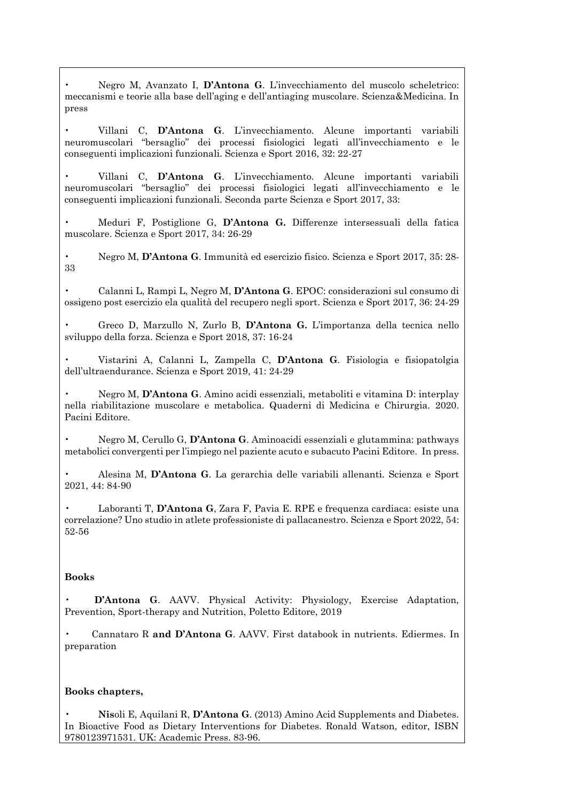• Negro M, Avanzato I, **D'Antona G**. L'invecchiamento del muscolo scheletrico: meccanismi e teorie alla base dell'aging e dell'antiaging muscolare. Scienza&Medicina. In press

• Villani C, **D'Antona G**. L'invecchiamento. Alcune importanti variabili neuromuscolari "bersaglio" dei processi fisiologici legati all'invecchiamento e le conseguenti implicazioni funzionali. Scienza e Sport 2016, 32: 22-27

• Villani C, **D'Antona G**. L'invecchiamento. Alcune importanti variabili neuromuscolari "bersaglio" dei processi fisiologici legati all'invecchiamento e le conseguenti implicazioni funzionali. Seconda parte Scienza e Sport 2017, 33:

• Meduri F, Postiglione G, **D'Antona G.** Differenze intersessuali della fatica muscolare. Scienza e Sport 2017, 34: 26-29

• Negro M, **D'Antona G**. Immunità ed esercizio fisico. Scienza e Sport 2017, 35: 28- 33

• Calanni L, Rampi L, Negro M, **D'Antona G**. EPOC: considerazioni sul consumo di ossigeno post esercizio ela qualità del recupero negli sport. Scienza e Sport 2017, 36: 24-29

• Greco D, Marzullo N, Zurlo B, **D'Antona G.** L'importanza della tecnica nello sviluppo della forza. Scienza e Sport 2018, 37: 16-24

• Vistarini A, Calanni L, Zampella C, **D'Antona G**. Fisiologia e fisiopatolgia dell'ultraendurance. Scienza e Sport 2019, 41: 24-29

• Negro M, **D'Antona G**. Amino acidi essenziali, metaboliti e vitamina D: interplay nella riabilitazione muscolare e metabolica. Quaderni di Medicina e Chirurgia. 2020. Pacini Editore.

• Negro M, Cerullo G, **D'Antona G**. Aminoacidi essenziali e glutammina: pathways metabolici convergenti per l'impiego nel paziente acuto e subacuto Pacini Editore. In press.

• Alesina M, **D'Antona G**. La gerarchia delle variabili allenanti. Scienza e Sport 2021, 44: 84-90

• Laboranti T, **D'Antona G**, Zara F, Pavia E. RPE e frequenza cardiaca: esiste una correlazione? Uno studio in atlete professioniste di pallacanestro. Scienza e Sport 2022, 54: 52-56

#### **Books**

• **D'Antona G**. AAVV. Physical Activity: Physiology, Exercise Adaptation, Prevention, Sport-therapy and Nutrition, Poletto Editore, 2019

• Cannataro R **and D'Antona G**. AAVV. First databook in nutrients. Ediermes. In preparation

#### **Books chapters,**

• **Nis**oli E, Aquilani R, **D'Antona G**. (2013) Amino Acid Supplements and Diabetes. In Bioactive Food as Dietary Interventions for Diabetes. Ronald Watson, editor, ISBN 9780123971531. UK: Academic Press. 83-96.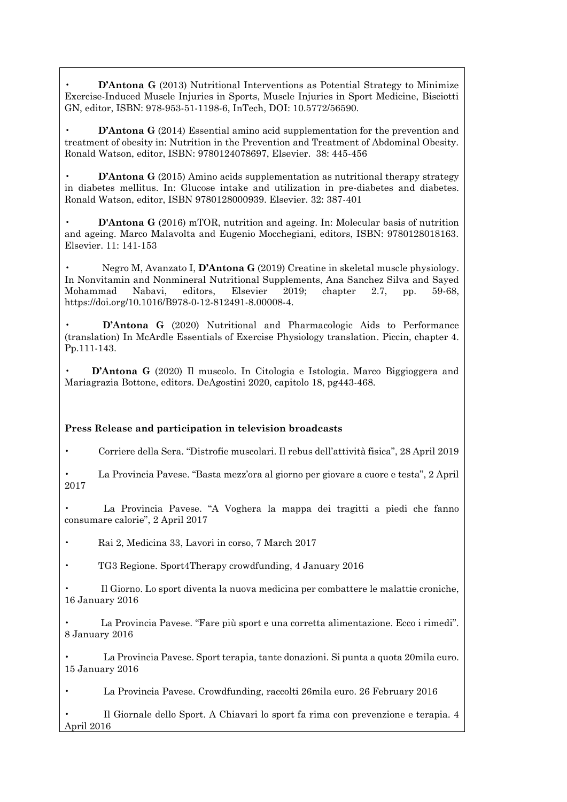**D'Antona G** (2013) Nutritional Interventions as Potential Strategy to Minimize Exercise-Induced Muscle Injuries in Sports, Muscle Injuries in Sport Medicine, Bisciotti GN, editor, ISBN: 978-953-51-1198-6, InTech, DOI: 10.5772/56590.

• **D'Antona G** (2014) Essential amino acid supplementation for the prevention and treatment of obesity in: Nutrition in the Prevention and Treatment of Abdominal Obesity. Ronald Watson, editor, ISBN: 9780124078697, Elsevier. 38: 445-456

**D'Antona G** (2015) Amino acids supplementation as nutritional therapy strategy in diabetes mellitus. In: Glucose intake and utilization in pre-diabetes and diabetes. Ronald Watson, editor, ISBN 9780128000939. Elsevier. 32: 387-401

• **D'Antona G** (2016) mTOR, nutrition and ageing. In: Molecular basis of nutrition and ageing. Marco Malavolta and Eugenio Mocchegiani, editors, ISBN: 9780128018163. Elsevier. 11: 141-153

• Negro M, Avanzato I, **D'Antona G** (2019) Creatine in skeletal muscle physiology. In Nonvitamin and Nonmineral Nutritional Supplements, Ana Sanchez Silva and Sayed Mohammad Nabavi, editors, Elsevier 2019; chapter 2.7, pp. 59-68, https://doi.org/10.1016/B978-0-12-812491-8.00008-4.

• **D'Antona G** (2020) Nutritional and Pharmacologic Aids to Performance (translation) In McArdle Essentials of Exercise Physiology translation. Piccin, chapter 4. Pp.111-143.

• **D'Antona G** (2020) Il muscolo. In Citologia e Istologia. Marco Biggioggera and Mariagrazia Bottone, editors. DeAgostini 2020, capitolo 18, pg443-468.

## **Press Release and participation in television broadcasts**

• Corriere della Sera. "Distrofie muscolari. Il rebus dell'attività fisica", 28 April 2019

• La Provincia Pavese. "Basta mezz'ora al giorno per giovare a cuore e testa", 2 April 2017

• La Provincia Pavese. "A Voghera la mappa dei tragitti a piedi che fanno consumare calorie", 2 April 2017

• Rai 2, Medicina 33, Lavori in corso, 7 March 2017

• TG3 Regione. Sport4Therapy crowdfunding, 4 January 2016

• Il Giorno. Lo sport diventa la nuova medicina per combattere le malattie croniche, 16 January 2016

• La Provincia Pavese. "Fare più sport e una corretta alimentazione. Ecco i rimedi". 8 January 2016

• La Provincia Pavese. Sport terapia, tante donazioni. Si punta a quota 20mila euro. 15 January 2016

• La Provincia Pavese. Crowdfunding, raccolti 26mila euro. 26 February 2016

• Il Giornale dello Sport. A Chiavari lo sport fa rima con prevenzione e terapia. 4 April 2016